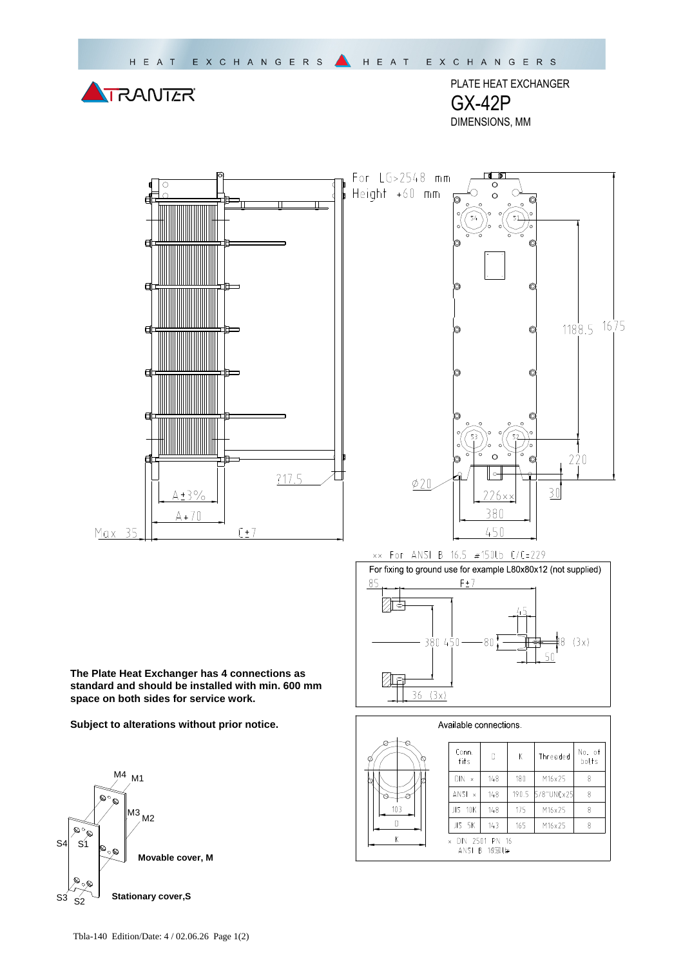

PLATE HEAT EXCHANGER GX-42P DIMENSIONS, MM

同下



For LG>2548 mm ಠ Height +60 mm  $1188.5$   $16\frac{1}{15}$ 220  $\phi$ 20  $\overline{30}$  $226 \times \times$ 380 450

## xx For ANSI B 16.5 #150lb C/C=229



Available connections. Conn. No. of  $\mathbb D$  $\mathsf{K}$ Threaded bolts fits  $\overline{DN \times}$  $148$  $180$ M16x25  $\,8\,$ 5/8"UNCx25  $ANSI \times$  $148$ 190.5  $\,8\,$  $103$  $JIS$  10 $K$  $148$  $\overline{175}$ M16x25  $\overline{8}$  $\overline{D}$  $JIS$   $5K$  $143$ 165 M16x25  $\overline{\mathbf{8}}$  $\overline{\mathsf{K}}$ DIN 2501 PN 16 ANSI B 1650U⊭

**The Plate Heat Exchanger has 4 connections as standard and should be installed with min. 600 mm space on both sides for service work.** 

**Subject to alterations without prior notice.**